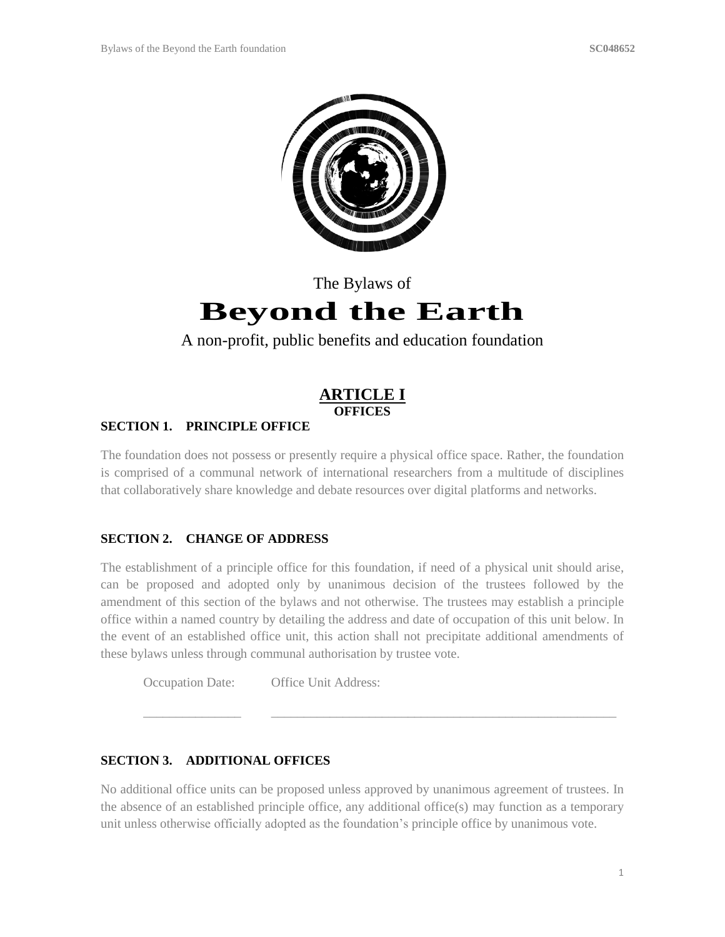

# The Bylaws of **Beyond the Earth**

# A non-profit, public benefits and education foundation

# **ARTICLE I OFFICES**

### **SECTION 1. PRINCIPLE OFFICE**

The foundation does not possess or presently require a physical office space. Rather, the foundation is comprised of a communal network of international researchers from a multitude of disciplines that collaboratively share knowledge and debate resources over digital platforms and networks.

### **SECTION 2. CHANGE OF ADDRESS**

The establishment of a principle office for this foundation, if need of a physical unit should arise, can be proposed and adopted only by unanimous decision of the trustees followed by the amendment of this section of the bylaws and not otherwise. The trustees may establish a principle office within a named country by detailing the address and date of occupation of this unit below. In the event of an established office unit, this action shall not precipitate additional amendments of these bylaws unless through communal authorisation by trustee vote.

Occupation Date: Office Unit Address:

### **SECTION 3. ADDITIONAL OFFICES**

No additional office units can be proposed unless approved by unanimous agreement of trustees. In the absence of an established principle office, any additional office(s) may function as a temporary unit unless otherwise officially adopted as the foundation's principle office by unanimous vote.

\_\_\_\_\_\_\_\_\_\_\_\_\_\_\_ \_\_\_\_\_\_\_\_\_\_\_\_\_\_\_\_\_\_\_\_\_\_\_\_\_\_\_\_\_\_\_\_\_\_\_\_\_\_\_\_\_\_\_\_\_\_\_\_\_\_\_\_\_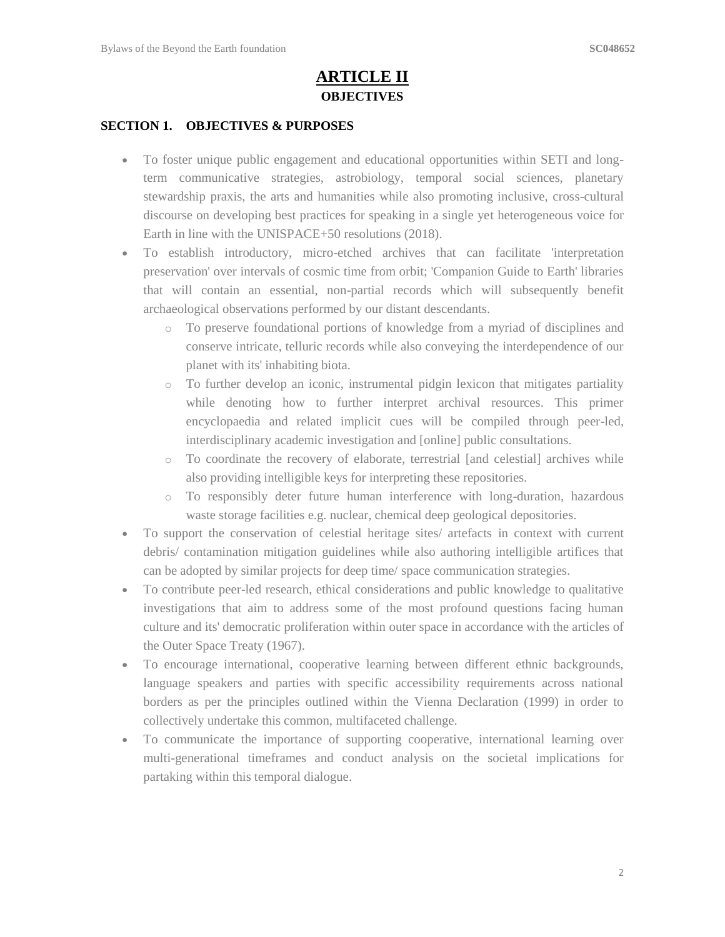# **ARTICLE II OBJECTIVES**

#### **SECTION 1. OBJECTIVES & PURPOSES**

- To foster unique public engagement and educational opportunities within SETI and longterm communicative strategies, astrobiology, temporal social sciences, planetary stewardship praxis, the arts and humanities while also promoting inclusive, cross-cultural discourse on developing best practices for speaking in a single yet heterogeneous voice for Earth in line with the UNISPACE+50 resolutions (2018).
- To establish introductory, micro-etched archives that can facilitate 'interpretation preservation' over intervals of cosmic time from orbit; 'Companion Guide to Earth' libraries that will contain an essential, non-partial records which will subsequently benefit archaeological observations performed by our distant descendants.
	- o To preserve foundational portions of knowledge from a myriad of disciplines and conserve intricate, telluric records while also conveying the interdependence of our planet with its' inhabiting biota.
	- o To further develop an iconic, instrumental pidgin lexicon that mitigates partiality while denoting how to further interpret archival resources. This primer encyclopaedia and related implicit cues will be compiled through peer-led, interdisciplinary academic investigation and [online] public consultations.
	- o To coordinate the recovery of elaborate, terrestrial [and celestial] archives while also providing intelligible keys for interpreting these repositories.
	- o To responsibly deter future human interference with long-duration, hazardous waste storage facilities e.g. nuclear, chemical deep geological depositories.
- To support the conservation of celestial heritage sites/ artefacts in context with current debris/ contamination mitigation guidelines while also authoring intelligible artifices that can be adopted by similar projects for deep time/ space communication strategies.
- To contribute peer-led research, ethical considerations and public knowledge to qualitative investigations that aim to address some of the most profound questions facing human culture and its' democratic proliferation within outer space in accordance with the articles of the Outer Space Treaty (1967).
- To encourage international, cooperative learning between different ethnic backgrounds, language speakers and parties with specific accessibility requirements across national borders as per the principles outlined within the Vienna Declaration (1999) in order to collectively undertake this common, multifaceted challenge.
- To communicate the importance of supporting cooperative, international learning over multi-generational timeframes and conduct analysis on the societal implications for partaking within this temporal dialogue.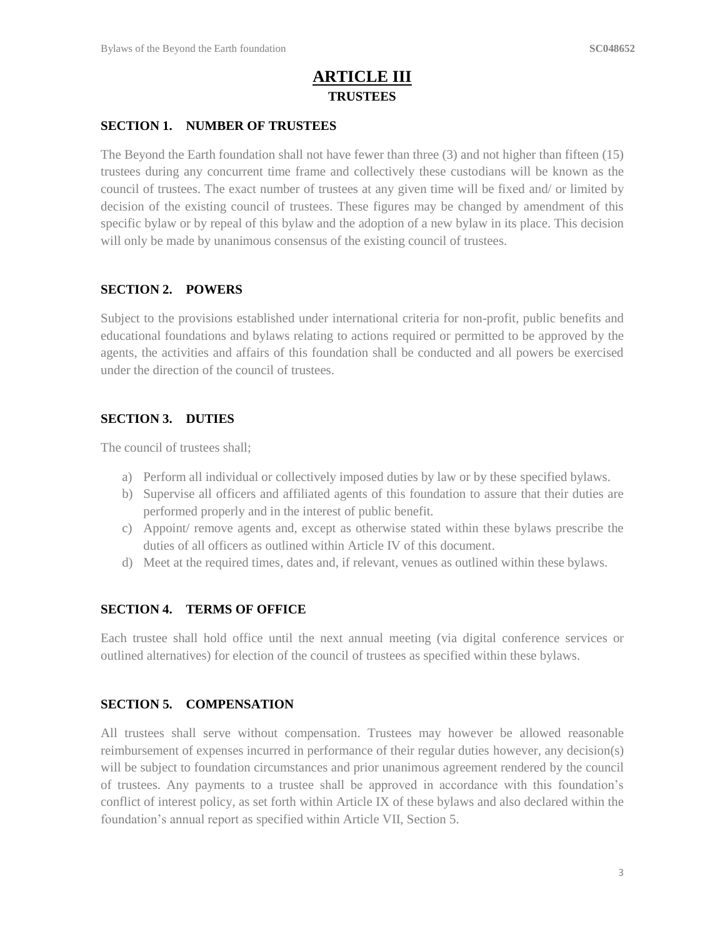# **ARTICLE III TRUSTEES**

#### **SECTION 1. NUMBER OF TRUSTEES**

The Beyond the Earth foundation shall not have fewer than three (3) and not higher than fifteen (15) trustees during any concurrent time frame and collectively these custodians will be known as the council of trustees. The exact number of trustees at any given time will be fixed and/ or limited by decision of the existing council of trustees. These figures may be changed by amendment of this specific bylaw or by repeal of this bylaw and the adoption of a new bylaw in its place. This decision will only be made by unanimous consensus of the existing council of trustees.

#### **SECTION 2. POWERS**

Subject to the provisions established under international criteria for non-profit, public benefits and educational foundations and bylaws relating to actions required or permitted to be approved by the agents, the activities and affairs of this foundation shall be conducted and all powers be exercised under the direction of the council of trustees.

#### **SECTION 3. DUTIES**

The council of trustees shall;

- a) Perform all individual or collectively imposed duties by law or by these specified bylaws.
- b) Supervise all officers and affiliated agents of this foundation to assure that their duties are performed properly and in the interest of public benefit.
- c) Appoint/ remove agents and, except as otherwise stated within these bylaws prescribe the duties of all officers as outlined within Article IV of this document.
- d) Meet at the required times, dates and, if relevant, venues as outlined within these bylaws.

#### **SECTION 4. TERMS OF OFFICE**

Each trustee shall hold office until the next annual meeting (via digital conference services or outlined alternatives) for election of the council of trustees as specified within these bylaws.

#### **SECTION 5. COMPENSATION**

All trustees shall serve without compensation. Trustees may however be allowed reasonable reimbursement of expenses incurred in performance of their regular duties however, any decision(s) will be subject to foundation circumstances and prior unanimous agreement rendered by the council of trustees. Any payments to a trustee shall be approved in accordance with this foundation's conflict of interest policy, as set forth within Article IX of these bylaws and also declared within the foundation's annual report as specified within Article VII, Section 5.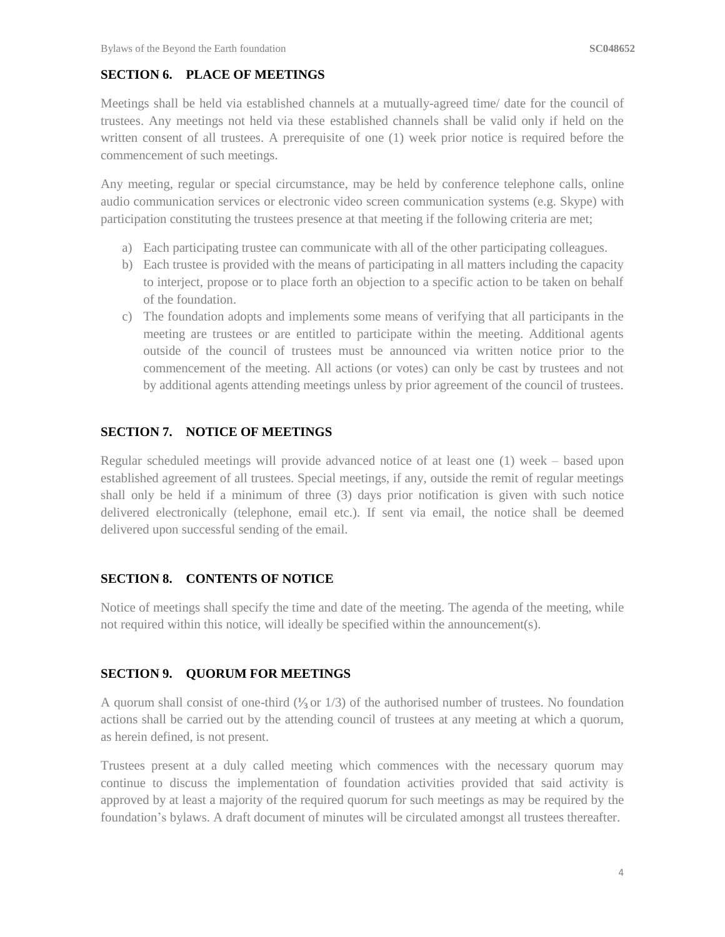### **SECTION 6. PLACE OF MEETINGS**

Meetings shall be held via established channels at a mutually-agreed time/ date for the council of trustees. Any meetings not held via these established channels shall be valid only if held on the written consent of all trustees. A prerequisite of one (1) week prior notice is required before the commencement of such meetings.

Any meeting, regular or special circumstance, may be held by conference telephone calls, online audio communication services or electronic video screen communication systems (e.g. Skype) with participation constituting the trustees presence at that meeting if the following criteria are met;

- a) Each participating trustee can communicate with all of the other participating colleagues.
- b) Each trustee is provided with the means of participating in all matters including the capacity to interject, propose or to place forth an objection to a specific action to be taken on behalf of the foundation.
- c) The foundation adopts and implements some means of verifying that all participants in the meeting are trustees or are entitled to participate within the meeting. Additional agents outside of the council of trustees must be announced via written notice prior to the commencement of the meeting. All actions (or votes) can only be cast by trustees and not by additional agents attending meetings unless by prior agreement of the council of trustees.

### **SECTION 7. NOTICE OF MEETINGS**

Regular scheduled meetings will provide advanced notice of at least one (1) week – based upon established agreement of all trustees. Special meetings, if any, outside the remit of regular meetings shall only be held if a minimum of three (3) days prior notification is given with such notice delivered electronically (telephone, email etc.). If sent via email, the notice shall be deemed delivered upon successful sending of the email.

### **SECTION 8. CONTENTS OF NOTICE**

Notice of meetings shall specify the time and date of the meeting. The agenda of the meeting, while not required within this notice, will ideally be specified within the announcement(s).

### **SECTION 9. QUORUM FOR MEETINGS**

A quorum shall consist of one-third (**⅟<sup>3</sup>** or 1/3) of the authorised number of trustees. No foundation actions shall be carried out by the attending council of trustees at any meeting at which a quorum, as herein defined, is not present.

Trustees present at a duly called meeting which commences with the necessary quorum may continue to discuss the implementation of foundation activities provided that said activity is approved by at least a majority of the required quorum for such meetings as may be required by the foundation's bylaws. A draft document of minutes will be circulated amongst all trustees thereafter.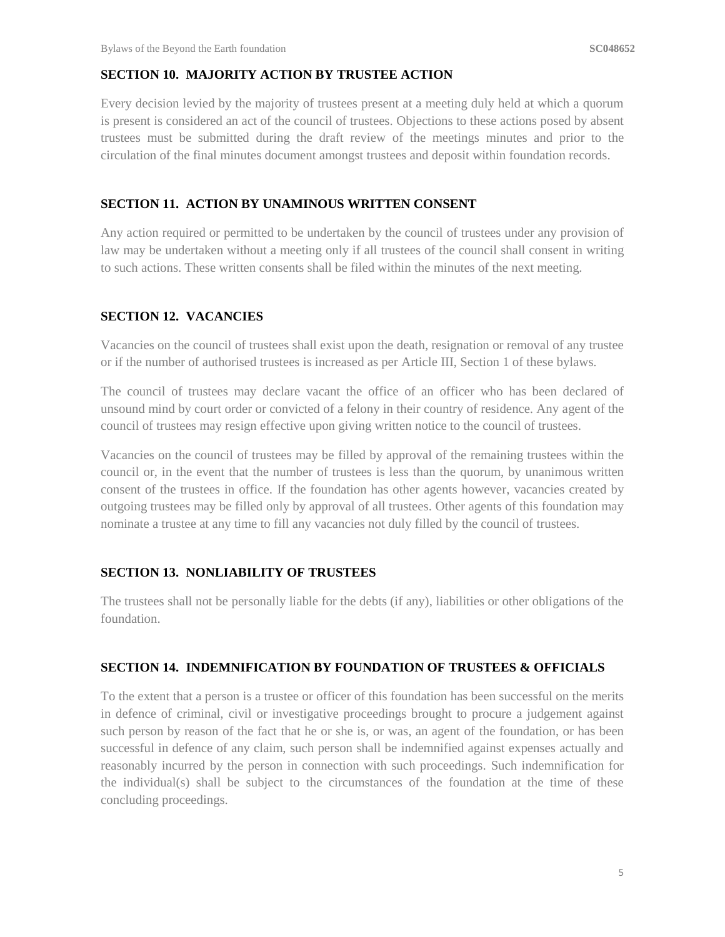### **SECTION 10. MAJORITY ACTION BY TRUSTEE ACTION**

Every decision levied by the majority of trustees present at a meeting duly held at which a quorum is present is considered an act of the council of trustees. Objections to these actions posed by absent trustees must be submitted during the draft review of the meetings minutes and prior to the circulation of the final minutes document amongst trustees and deposit within foundation records.

#### **SECTION 11. ACTION BY UNAMINOUS WRITTEN CONSENT**

Any action required or permitted to be undertaken by the council of trustees under any provision of law may be undertaken without a meeting only if all trustees of the council shall consent in writing to such actions. These written consents shall be filed within the minutes of the next meeting.

#### **SECTION 12. VACANCIES**

Vacancies on the council of trustees shall exist upon the death, resignation or removal of any trustee or if the number of authorised trustees is increased as per Article III, Section 1 of these bylaws.

The council of trustees may declare vacant the office of an officer who has been declared of unsound mind by court order or convicted of a felony in their country of residence. Any agent of the council of trustees may resign effective upon giving written notice to the council of trustees.

Vacancies on the council of trustees may be filled by approval of the remaining trustees within the council or, in the event that the number of trustees is less than the quorum, by unanimous written consent of the trustees in office. If the foundation has other agents however, vacancies created by outgoing trustees may be filled only by approval of all trustees. Other agents of this foundation may nominate a trustee at any time to fill any vacancies not duly filled by the council of trustees.

#### **SECTION 13. NONLIABILITY OF TRUSTEES**

The trustees shall not be personally liable for the debts (if any), liabilities or other obligations of the foundation.

#### **SECTION 14. INDEMNIFICATION BY FOUNDATION OF TRUSTEES & OFFICIALS**

To the extent that a person is a trustee or officer of this foundation has been successful on the merits in defence of criminal, civil or investigative proceedings brought to procure a judgement against such person by reason of the fact that he or she is, or was, an agent of the foundation, or has been successful in defence of any claim, such person shall be indemnified against expenses actually and reasonably incurred by the person in connection with such proceedings. Such indemnification for the individual(s) shall be subject to the circumstances of the foundation at the time of these concluding proceedings.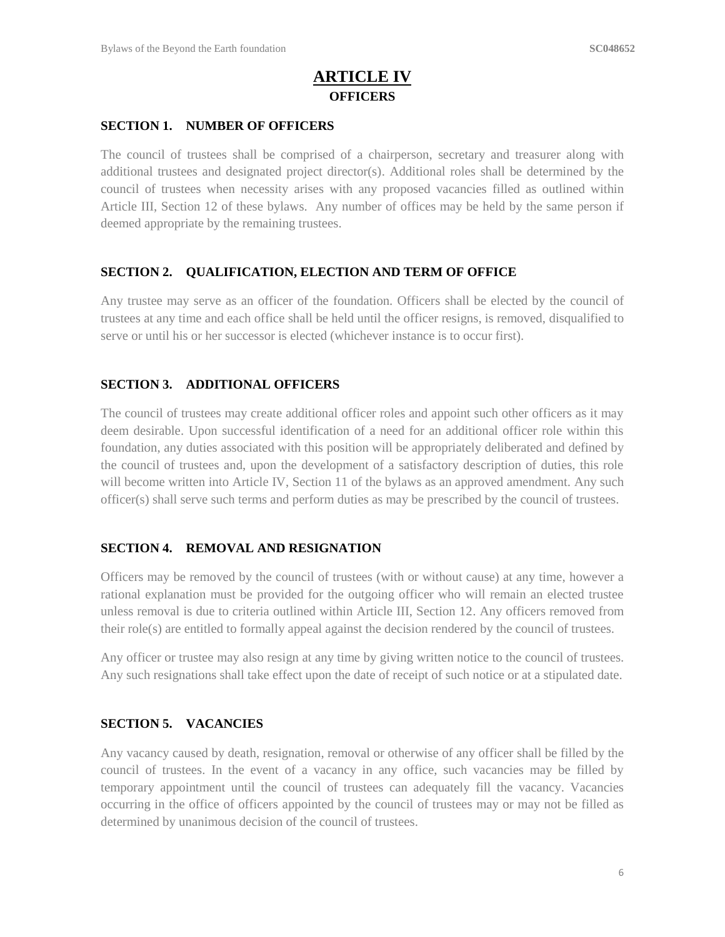# **ARTICLE IV OFFICERS**

#### **SECTION 1. NUMBER OF OFFICERS**

The council of trustees shall be comprised of a chairperson, secretary and treasurer along with additional trustees and designated project director(s). Additional roles shall be determined by the council of trustees when necessity arises with any proposed vacancies filled as outlined within Article III, Section 12 of these bylaws. Any number of offices may be held by the same person if deemed appropriate by the remaining trustees.

#### **SECTION 2. QUALIFICATION, ELECTION AND TERM OF OFFICE**

Any trustee may serve as an officer of the foundation. Officers shall be elected by the council of trustees at any time and each office shall be held until the officer resigns, is removed, disqualified to serve or until his or her successor is elected (whichever instance is to occur first).

#### **SECTION 3. ADDITIONAL OFFICERS**

The council of trustees may create additional officer roles and appoint such other officers as it may deem desirable. Upon successful identification of a need for an additional officer role within this foundation, any duties associated with this position will be appropriately deliberated and defined by the council of trustees and, upon the development of a satisfactory description of duties, this role will become written into Article IV, Section 11 of the bylaws as an approved amendment. Any such officer(s) shall serve such terms and perform duties as may be prescribed by the council of trustees.

#### **SECTION 4. REMOVAL AND RESIGNATION**

Officers may be removed by the council of trustees (with or without cause) at any time, however a rational explanation must be provided for the outgoing officer who will remain an elected trustee unless removal is due to criteria outlined within Article III, Section 12. Any officers removed from their role(s) are entitled to formally appeal against the decision rendered by the council of trustees.

Any officer or trustee may also resign at any time by giving written notice to the council of trustees. Any such resignations shall take effect upon the date of receipt of such notice or at a stipulated date.

#### **SECTION 5. VACANCIES**

Any vacancy caused by death, resignation, removal or otherwise of any officer shall be filled by the council of trustees. In the event of a vacancy in any office, such vacancies may be filled by temporary appointment until the council of trustees can adequately fill the vacancy. Vacancies occurring in the office of officers appointed by the council of trustees may or may not be filled as determined by unanimous decision of the council of trustees.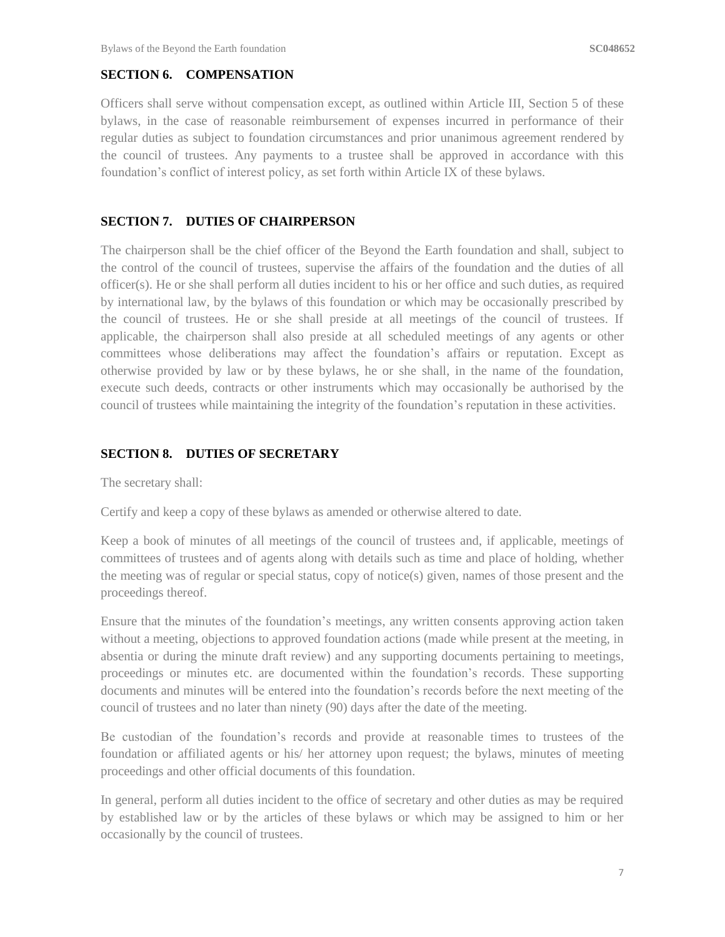#### **SECTION 6. COMPENSATION**

Officers shall serve without compensation except, as outlined within Article III, Section 5 of these bylaws, in the case of reasonable reimbursement of expenses incurred in performance of their regular duties as subject to foundation circumstances and prior unanimous agreement rendered by the council of trustees. Any payments to a trustee shall be approved in accordance with this foundation's conflict of interest policy, as set forth within Article IX of these bylaws.

#### **SECTION 7. DUTIES OF CHAIRPERSON**

The chairperson shall be the chief officer of the Beyond the Earth foundation and shall, subject to the control of the council of trustees, supervise the affairs of the foundation and the duties of all officer(s). He or she shall perform all duties incident to his or her office and such duties, as required by international law, by the bylaws of this foundation or which may be occasionally prescribed by the council of trustees. He or she shall preside at all meetings of the council of trustees. If applicable, the chairperson shall also preside at all scheduled meetings of any agents or other committees whose deliberations may affect the foundation's affairs or reputation. Except as otherwise provided by law or by these bylaws, he or she shall, in the name of the foundation, execute such deeds, contracts or other instruments which may occasionally be authorised by the council of trustees while maintaining the integrity of the foundation's reputation in these activities.

#### **SECTION 8. DUTIES OF SECRETARY**

The secretary shall:

Certify and keep a copy of these bylaws as amended or otherwise altered to date.

Keep a book of minutes of all meetings of the council of trustees and, if applicable, meetings of committees of trustees and of agents along with details such as time and place of holding, whether the meeting was of regular or special status, copy of notice(s) given, names of those present and the proceedings thereof.

Ensure that the minutes of the foundation's meetings, any written consents approving action taken without a meeting, objections to approved foundation actions (made while present at the meeting, in absentia or during the minute draft review) and any supporting documents pertaining to meetings, proceedings or minutes etc. are documented within the foundation's records. These supporting documents and minutes will be entered into the foundation's records before the next meeting of the council of trustees and no later than ninety (90) days after the date of the meeting.

Be custodian of the foundation's records and provide at reasonable times to trustees of the foundation or affiliated agents or his/ her attorney upon request; the bylaws, minutes of meeting proceedings and other official documents of this foundation.

In general, perform all duties incident to the office of secretary and other duties as may be required by established law or by the articles of these bylaws or which may be assigned to him or her occasionally by the council of trustees.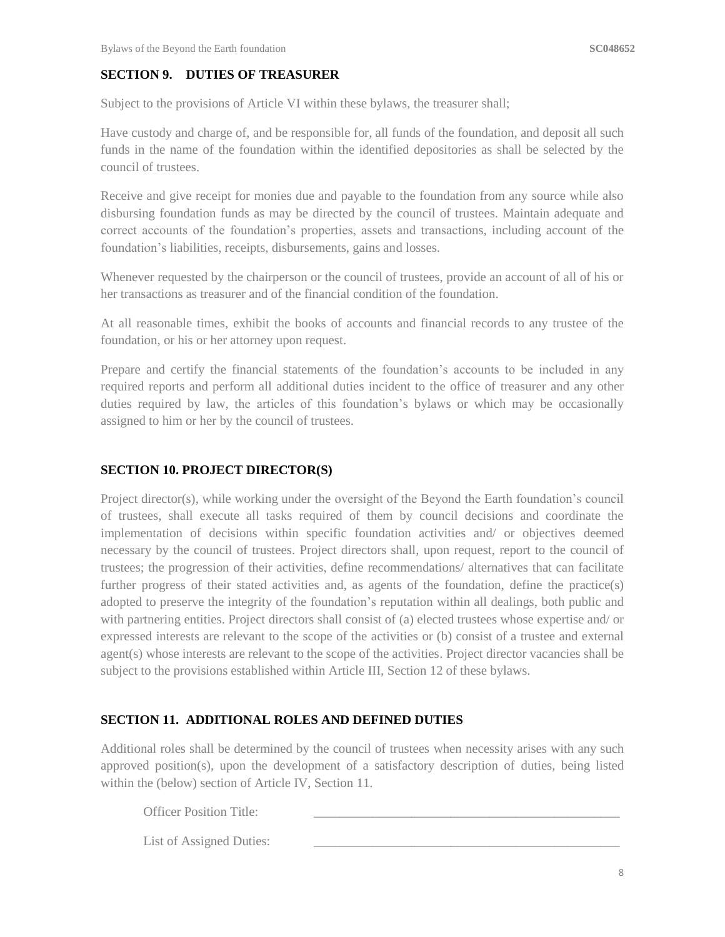### **SECTION 9. DUTIES OF TREASURER**

Subject to the provisions of Article VI within these bylaws, the treasurer shall;

Have custody and charge of, and be responsible for, all funds of the foundation, and deposit all such funds in the name of the foundation within the identified depositories as shall be selected by the council of trustees.

Receive and give receipt for monies due and payable to the foundation from any source while also disbursing foundation funds as may be directed by the council of trustees. Maintain adequate and correct accounts of the foundation's properties, assets and transactions, including account of the foundation's liabilities, receipts, disbursements, gains and losses.

Whenever requested by the chairperson or the council of trustees, provide an account of all of his or her transactions as treasurer and of the financial condition of the foundation.

At all reasonable times, exhibit the books of accounts and financial records to any trustee of the foundation, or his or her attorney upon request.

Prepare and certify the financial statements of the foundation's accounts to be included in any required reports and perform all additional duties incident to the office of treasurer and any other duties required by law, the articles of this foundation's bylaws or which may be occasionally assigned to him or her by the council of trustees.

#### **SECTION 10. PROJECT DIRECTOR(S)**

Project director(s), while working under the oversight of the Beyond the Earth foundation's council of trustees, shall execute all tasks required of them by council decisions and coordinate the implementation of decisions within specific foundation activities and/ or objectives deemed necessary by the council of trustees. Project directors shall, upon request, report to the council of trustees; the progression of their activities, define recommendations/ alternatives that can facilitate further progress of their stated activities and, as agents of the foundation, define the practice(s) adopted to preserve the integrity of the foundation's reputation within all dealings, both public and with partnering entities. Project directors shall consist of (a) elected trustees whose expertise and/ or expressed interests are relevant to the scope of the activities or (b) consist of a trustee and external agent(s) whose interests are relevant to the scope of the activities. Project director vacancies shall be subject to the provisions established within Article III, Section 12 of these bylaws.

### **SECTION 11. ADDITIONAL ROLES AND DEFINED DUTIES**

Additional roles shall be determined by the council of trustees when necessity arises with any such approved position(s), upon the development of a satisfactory description of duties, being listed within the (below) section of Article IV, Section 11.

Officer Position Title:

List of Assigned Duties: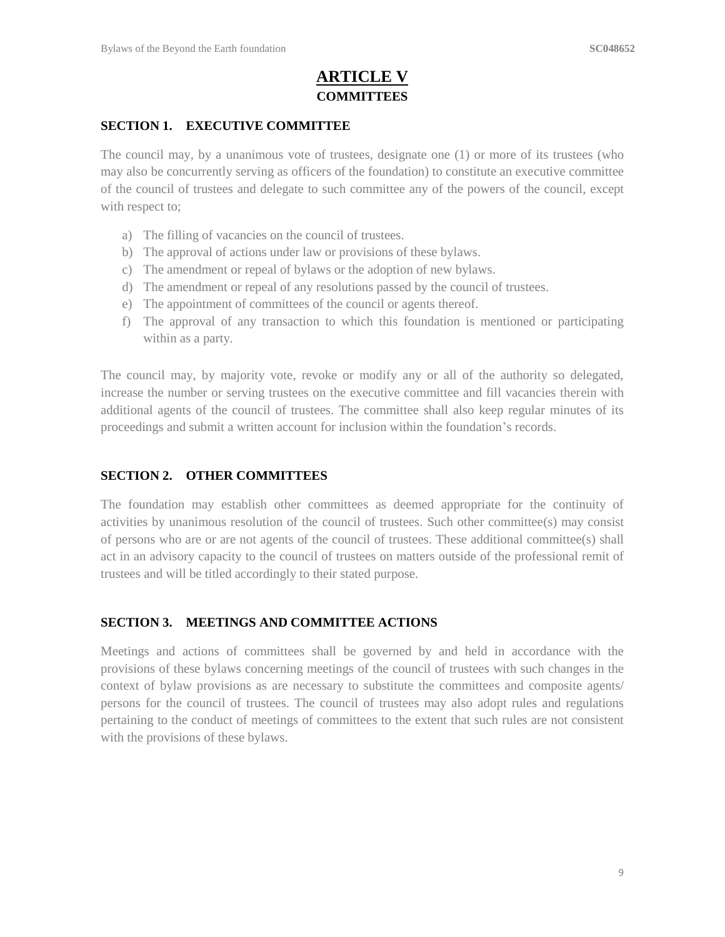# **ARTICLE V COMMITTEES**

#### **SECTION 1. EXECUTIVE COMMITTEE**

The council may, by a unanimous vote of trustees, designate one (1) or more of its trustees (who may also be concurrently serving as officers of the foundation) to constitute an executive committee of the council of trustees and delegate to such committee any of the powers of the council, except with respect to:

- a) The filling of vacancies on the council of trustees.
- b) The approval of actions under law or provisions of these bylaws.
- c) The amendment or repeal of bylaws or the adoption of new bylaws.
- d) The amendment or repeal of any resolutions passed by the council of trustees.
- e) The appointment of committees of the council or agents thereof.
- f) The approval of any transaction to which this foundation is mentioned or participating within as a party.

The council may, by majority vote, revoke or modify any or all of the authority so delegated, increase the number or serving trustees on the executive committee and fill vacancies therein with additional agents of the council of trustees. The committee shall also keep regular minutes of its proceedings and submit a written account for inclusion within the foundation's records.

#### **SECTION 2. OTHER COMMITTEES**

The foundation may establish other committees as deemed appropriate for the continuity of activities by unanimous resolution of the council of trustees. Such other committee(s) may consist of persons who are or are not agents of the council of trustees. These additional committee(s) shall act in an advisory capacity to the council of trustees on matters outside of the professional remit of trustees and will be titled accordingly to their stated purpose.

### **SECTION 3. MEETINGS AND COMMITTEE ACTIONS**

Meetings and actions of committees shall be governed by and held in accordance with the provisions of these bylaws concerning meetings of the council of trustees with such changes in the context of bylaw provisions as are necessary to substitute the committees and composite agents/ persons for the council of trustees. The council of trustees may also adopt rules and regulations pertaining to the conduct of meetings of committees to the extent that such rules are not consistent with the provisions of these bylaws.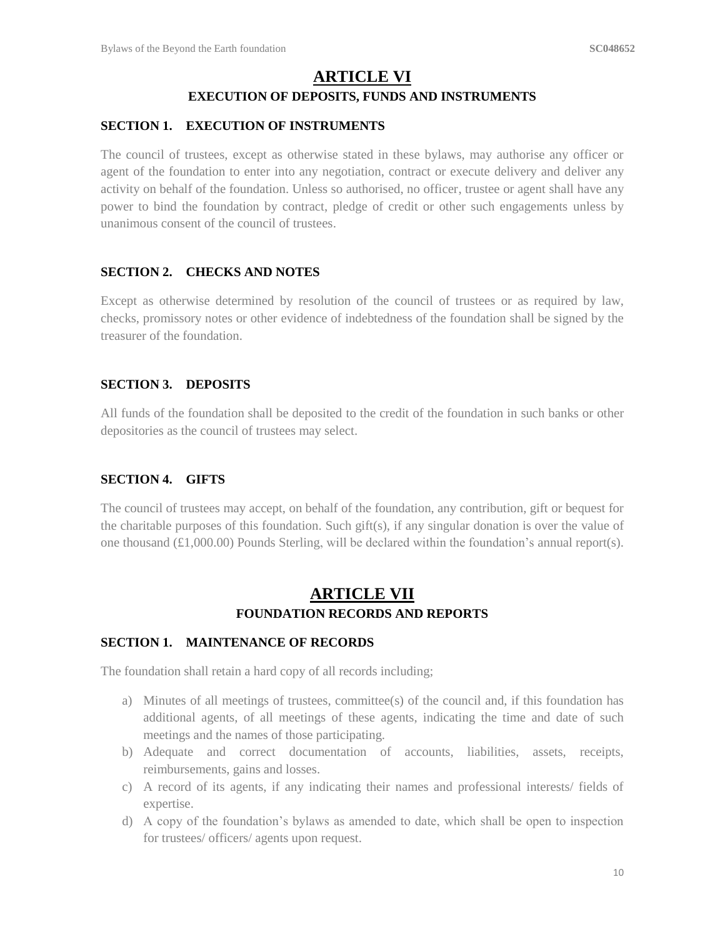# **ARTICLE VI EXECUTION OF DEPOSITS, FUNDS AND INSTRUMENTS**

#### **SECTION 1. EXECUTION OF INSTRUMENTS**

The council of trustees, except as otherwise stated in these bylaws, may authorise any officer or agent of the foundation to enter into any negotiation, contract or execute delivery and deliver any activity on behalf of the foundation. Unless so authorised, no officer, trustee or agent shall have any power to bind the foundation by contract, pledge of credit or other such engagements unless by unanimous consent of the council of trustees.

#### **SECTION 2. CHECKS AND NOTES**

Except as otherwise determined by resolution of the council of trustees or as required by law, checks, promissory notes or other evidence of indebtedness of the foundation shall be signed by the treasurer of the foundation.

#### **SECTION 3. DEPOSITS**

All funds of the foundation shall be deposited to the credit of the foundation in such banks or other depositories as the council of trustees may select.

### **SECTION 4. GIFTS**

The council of trustees may accept, on behalf of the foundation, any contribution, gift or bequest for the charitable purposes of this foundation. Such gift(s), if any singular donation is over the value of one thousand  $(\text{\textsterling}1,000.00)$  Pounds Sterling, will be declared within the foundation's annual report(s).

# **ARTICLE VII FOUNDATION RECORDS AND REPORTS**

#### **SECTION 1. MAINTENANCE OF RECORDS**

The foundation shall retain a hard copy of all records including;

- a) Minutes of all meetings of trustees, committee(s) of the council and, if this foundation has additional agents, of all meetings of these agents, indicating the time and date of such meetings and the names of those participating.
- b) Adequate and correct documentation of accounts, liabilities, assets, receipts, reimbursements, gains and losses.
- c) A record of its agents, if any indicating their names and professional interests/ fields of expertise.
- d) A copy of the foundation's bylaws as amended to date, which shall be open to inspection for trustees/ officers/ agents upon request.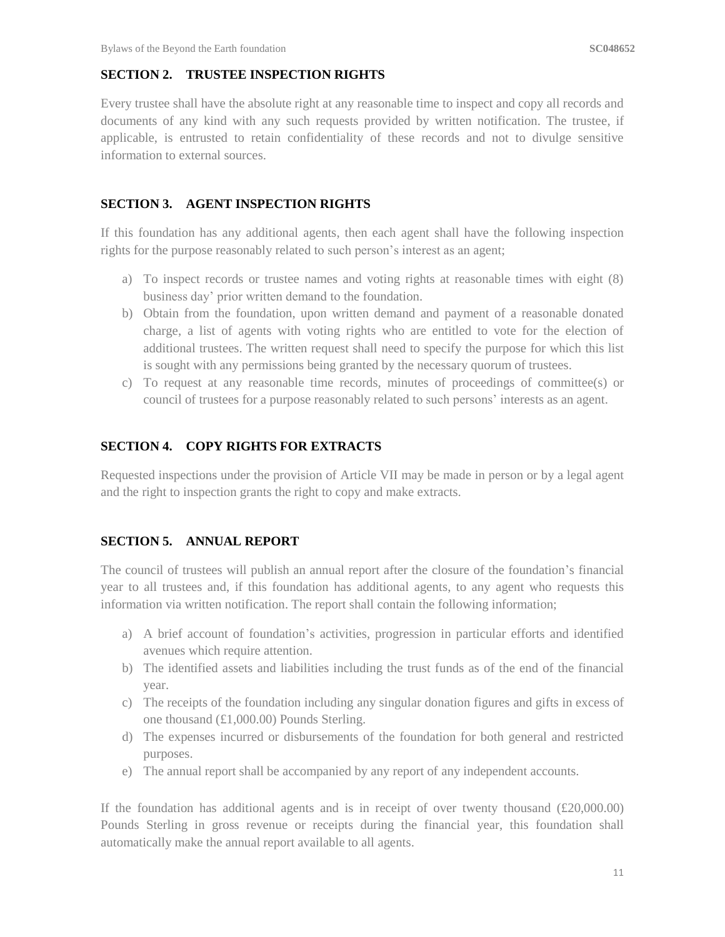#### **SECTION 2. TRUSTEE INSPECTION RIGHTS**

Every trustee shall have the absolute right at any reasonable time to inspect and copy all records and documents of any kind with any such requests provided by written notification. The trustee, if applicable, is entrusted to retain confidentiality of these records and not to divulge sensitive information to external sources.

#### **SECTION 3. AGENT INSPECTION RIGHTS**

If this foundation has any additional agents, then each agent shall have the following inspection rights for the purpose reasonably related to such person's interest as an agent;

- a) To inspect records or trustee names and voting rights at reasonable times with eight (8) business day' prior written demand to the foundation.
- b) Obtain from the foundation, upon written demand and payment of a reasonable donated charge, a list of agents with voting rights who are entitled to vote for the election of additional trustees. The written request shall need to specify the purpose for which this list is sought with any permissions being granted by the necessary quorum of trustees.
- c) To request at any reasonable time records, minutes of proceedings of committee(s) or council of trustees for a purpose reasonably related to such persons' interests as an agent.

#### **SECTION 4. COPY RIGHTS FOR EXTRACTS**

Requested inspections under the provision of Article VII may be made in person or by a legal agent and the right to inspection grants the right to copy and make extracts.

#### **SECTION 5. ANNUAL REPORT**

The council of trustees will publish an annual report after the closure of the foundation's financial year to all trustees and, if this foundation has additional agents, to any agent who requests this information via written notification. The report shall contain the following information;

- a) A brief account of foundation's activities, progression in particular efforts and identified avenues which require attention.
- b) The identified assets and liabilities including the trust funds as of the end of the financial year.
- c) The receipts of the foundation including any singular donation figures and gifts in excess of one thousand (£1,000.00) Pounds Sterling.
- d) The expenses incurred or disbursements of the foundation for both general and restricted purposes.
- e) The annual report shall be accompanied by any report of any independent accounts.

If the foundation has additional agents and is in receipt of over twenty thousand  $(\text{\pounds}20,000.00)$ Pounds Sterling in gross revenue or receipts during the financial year, this foundation shall automatically make the annual report available to all agents.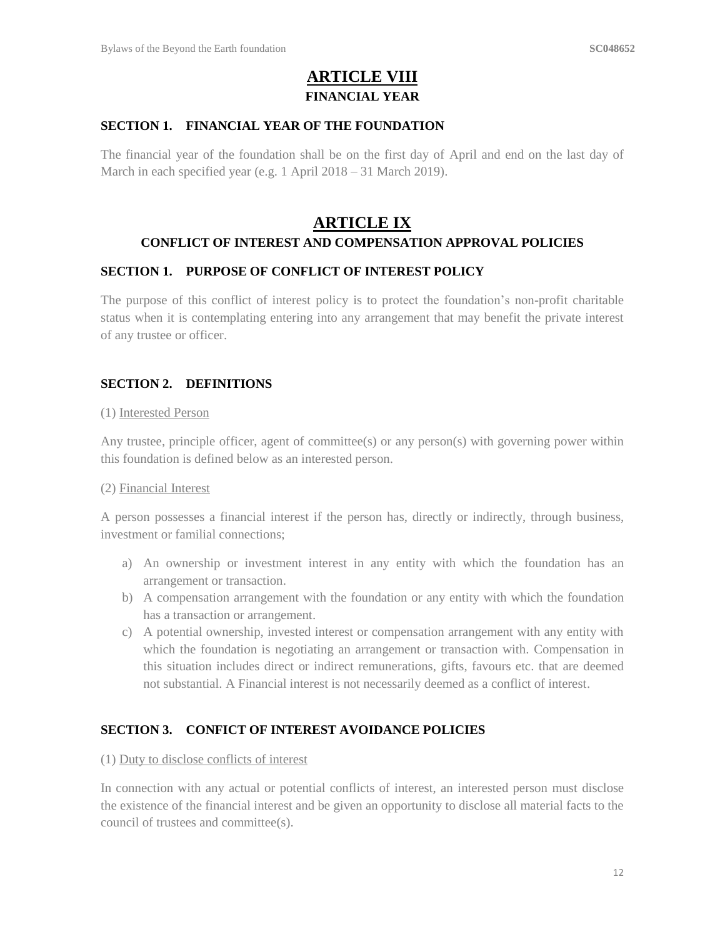# **ARTICLE VIII FINANCIAL YEAR**

#### **SECTION 1. FINANCIAL YEAR OF THE FOUNDATION**

The financial year of the foundation shall be on the first day of April and end on the last day of March in each specified year (e.g. 1 April 2018 – 31 March 2019).

# **ARTICLE IX**

#### **CONFLICT OF INTEREST AND COMPENSATION APPROVAL POLICIES**

#### **SECTION 1. PURPOSE OF CONFLICT OF INTEREST POLICY**

The purpose of this conflict of interest policy is to protect the foundation's non-profit charitable status when it is contemplating entering into any arrangement that may benefit the private interest of any trustee or officer.

#### **SECTION 2. DEFINITIONS**

#### (1) Interested Person

Any trustee, principle officer, agent of committee(s) or any person(s) with governing power within this foundation is defined below as an interested person.

#### (2) Financial Interest

A person possesses a financial interest if the person has, directly or indirectly, through business, investment or familial connections;

- a) An ownership or investment interest in any entity with which the foundation has an arrangement or transaction.
- b) A compensation arrangement with the foundation or any entity with which the foundation has a transaction or arrangement.
- c) A potential ownership, invested interest or compensation arrangement with any entity with which the foundation is negotiating an arrangement or transaction with. Compensation in this situation includes direct or indirect remunerations, gifts, favours etc. that are deemed not substantial. A Financial interest is not necessarily deemed as a conflict of interest.

#### **SECTION 3. CONFICT OF INTEREST AVOIDANCE POLICIES**

#### (1) Duty to disclose conflicts of interest

In connection with any actual or potential conflicts of interest, an interested person must disclose the existence of the financial interest and be given an opportunity to disclose all material facts to the council of trustees and committee(s).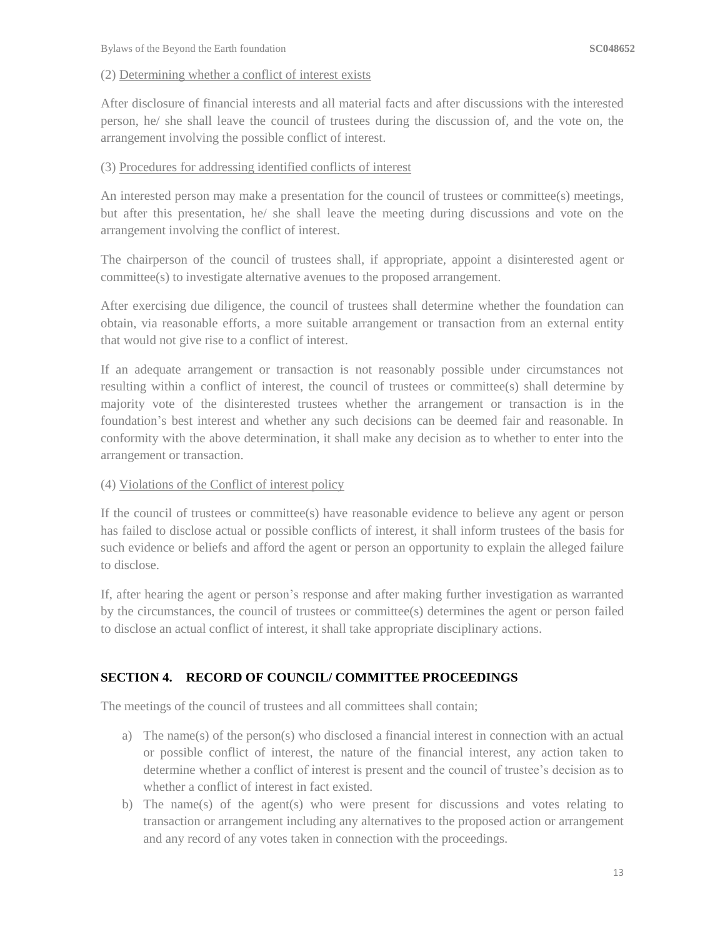#### (2) Determining whether a conflict of interest exists

After disclosure of financial interests and all material facts and after discussions with the interested person, he/ she shall leave the council of trustees during the discussion of, and the vote on, the arrangement involving the possible conflict of interest.

#### (3) Procedures for addressing identified conflicts of interest

An interested person may make a presentation for the council of trustees or committee(s) meetings, but after this presentation, he/ she shall leave the meeting during discussions and vote on the arrangement involving the conflict of interest.

The chairperson of the council of trustees shall, if appropriate, appoint a disinterested agent or committee(s) to investigate alternative avenues to the proposed arrangement.

After exercising due diligence, the council of trustees shall determine whether the foundation can obtain, via reasonable efforts, a more suitable arrangement or transaction from an external entity that would not give rise to a conflict of interest.

If an adequate arrangement or transaction is not reasonably possible under circumstances not resulting within a conflict of interest, the council of trustees or committee(s) shall determine by majority vote of the disinterested trustees whether the arrangement or transaction is in the foundation's best interest and whether any such decisions can be deemed fair and reasonable. In conformity with the above determination, it shall make any decision as to whether to enter into the arrangement or transaction.

#### (4) Violations of the Conflict of interest policy

If the council of trustees or committee(s) have reasonable evidence to believe any agent or person has failed to disclose actual or possible conflicts of interest, it shall inform trustees of the basis for such evidence or beliefs and afford the agent or person an opportunity to explain the alleged failure to disclose.

If, after hearing the agent or person's response and after making further investigation as warranted by the circumstances, the council of trustees or committee(s) determines the agent or person failed to disclose an actual conflict of interest, it shall take appropriate disciplinary actions.

### **SECTION 4. RECORD OF COUNCIL/ COMMITTEE PROCEEDINGS**

The meetings of the council of trustees and all committees shall contain;

- a) The name(s) of the person(s) who disclosed a financial interest in connection with an actual or possible conflict of interest, the nature of the financial interest, any action taken to determine whether a conflict of interest is present and the council of trustee's decision as to whether a conflict of interest in fact existed.
- b) The name(s) of the agent(s) who were present for discussions and votes relating to transaction or arrangement including any alternatives to the proposed action or arrangement and any record of any votes taken in connection with the proceedings.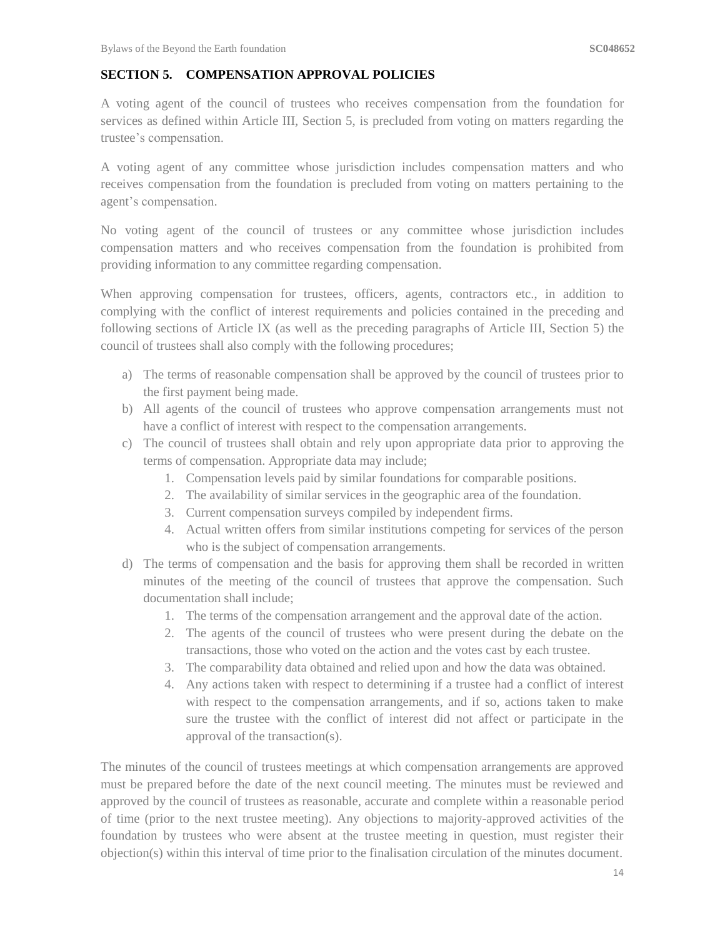### **SECTION 5. COMPENSATION APPROVAL POLICIES**

A voting agent of the council of trustees who receives compensation from the foundation for services as defined within Article III, Section 5, is precluded from voting on matters regarding the trustee's compensation.

A voting agent of any committee whose jurisdiction includes compensation matters and who receives compensation from the foundation is precluded from voting on matters pertaining to the agent's compensation.

No voting agent of the council of trustees or any committee whose jurisdiction includes compensation matters and who receives compensation from the foundation is prohibited from providing information to any committee regarding compensation.

When approving compensation for trustees, officers, agents, contractors etc., in addition to complying with the conflict of interest requirements and policies contained in the preceding and following sections of Article IX (as well as the preceding paragraphs of Article III, Section 5) the council of trustees shall also comply with the following procedures;

- a) The terms of reasonable compensation shall be approved by the council of trustees prior to the first payment being made.
- b) All agents of the council of trustees who approve compensation arrangements must not have a conflict of interest with respect to the compensation arrangements.
- c) The council of trustees shall obtain and rely upon appropriate data prior to approving the terms of compensation. Appropriate data may include;
	- 1. Compensation levels paid by similar foundations for comparable positions.
	- 2. The availability of similar services in the geographic area of the foundation.
	- 3. Current compensation surveys compiled by independent firms.
	- 4. Actual written offers from similar institutions competing for services of the person who is the subject of compensation arrangements.
- d) The terms of compensation and the basis for approving them shall be recorded in written minutes of the meeting of the council of trustees that approve the compensation. Such documentation shall include;
	- 1. The terms of the compensation arrangement and the approval date of the action.
	- 2. The agents of the council of trustees who were present during the debate on the transactions, those who voted on the action and the votes cast by each trustee.
	- 3. The comparability data obtained and relied upon and how the data was obtained.
	- 4. Any actions taken with respect to determining if a trustee had a conflict of interest with respect to the compensation arrangements, and if so, actions taken to make sure the trustee with the conflict of interest did not affect or participate in the approval of the transaction(s).

The minutes of the council of trustees meetings at which compensation arrangements are approved must be prepared before the date of the next council meeting. The minutes must be reviewed and approved by the council of trustees as reasonable, accurate and complete within a reasonable period of time (prior to the next trustee meeting). Any objections to majority-approved activities of the foundation by trustees who were absent at the trustee meeting in question, must register their objection(s) within this interval of time prior to the finalisation circulation of the minutes document.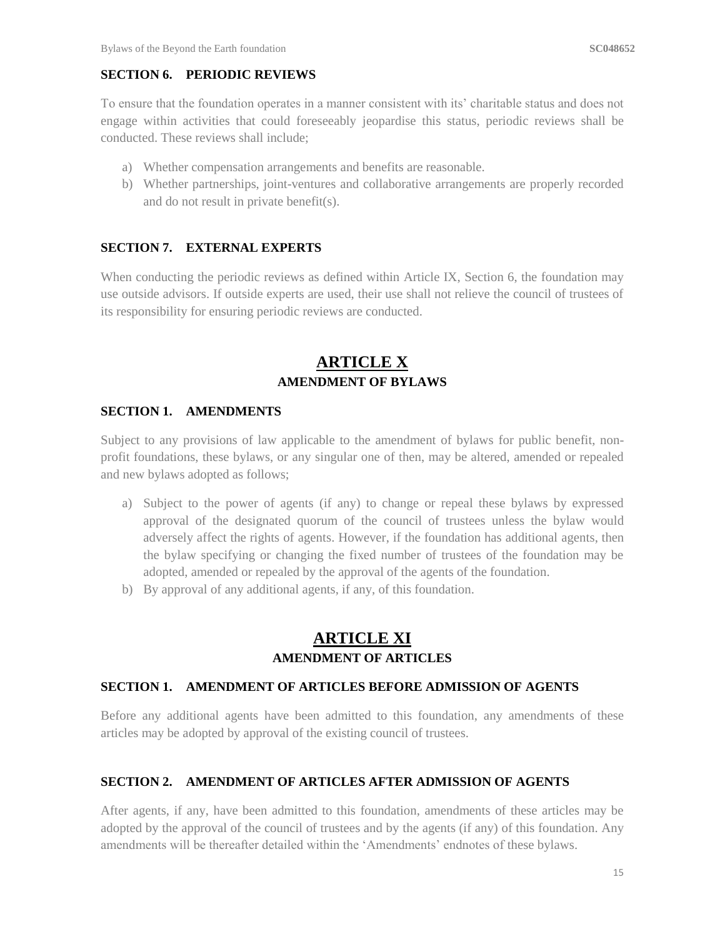### **SECTION 6. PERIODIC REVIEWS**

To ensure that the foundation operates in a manner consistent with its' charitable status and does not engage within activities that could foreseeably jeopardise this status, periodic reviews shall be conducted. These reviews shall include;

- a) Whether compensation arrangements and benefits are reasonable.
- b) Whether partnerships, joint-ventures and collaborative arrangements are properly recorded and do not result in private benefit(s).

#### **SECTION 7. EXTERNAL EXPERTS**

When conducting the periodic reviews as defined within Article IX, Section 6, the foundation may use outside advisors. If outside experts are used, their use shall not relieve the council of trustees of its responsibility for ensuring periodic reviews are conducted.

# **ARTICLE X AMENDMENT OF BYLAWS**

#### **SECTION 1. AMENDMENTS**

Subject to any provisions of law applicable to the amendment of bylaws for public benefit, nonprofit foundations, these bylaws, or any singular one of then, may be altered, amended or repealed and new bylaws adopted as follows;

- a) Subject to the power of agents (if any) to change or repeal these bylaws by expressed approval of the designated quorum of the council of trustees unless the bylaw would adversely affect the rights of agents. However, if the foundation has additional agents, then the bylaw specifying or changing the fixed number of trustees of the foundation may be adopted, amended or repealed by the approval of the agents of the foundation.
- b) By approval of any additional agents, if any, of this foundation.

# **ARTICLE XI AMENDMENT OF ARTICLES**

#### **SECTION 1. AMENDMENT OF ARTICLES BEFORE ADMISSION OF AGENTS**

Before any additional agents have been admitted to this foundation, any amendments of these articles may be adopted by approval of the existing council of trustees.

#### **SECTION 2. AMENDMENT OF ARTICLES AFTER ADMISSION OF AGENTS**

After agents, if any, have been admitted to this foundation, amendments of these articles may be adopted by the approval of the council of trustees and by the agents (if any) of this foundation. Any amendments will be thereafter detailed within the 'Amendments' endnotes of these bylaws.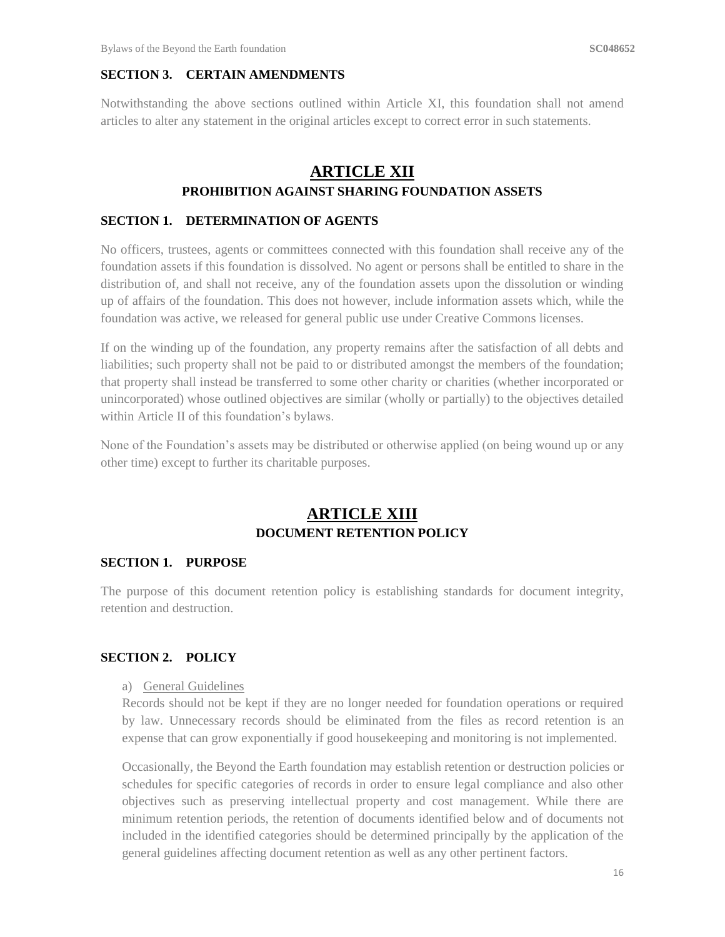#### **SECTION 3. CERTAIN AMENDMENTS**

Notwithstanding the above sections outlined within Article XI, this foundation shall not amend articles to alter any statement in the original articles except to correct error in such statements.

### **ARTICLE XII PROHIBITION AGAINST SHARING FOUNDATION ASSETS**

#### **SECTION 1. DETERMINATION OF AGENTS**

No officers, trustees, agents or committees connected with this foundation shall receive any of the foundation assets if this foundation is dissolved. No agent or persons shall be entitled to share in the distribution of, and shall not receive, any of the foundation assets upon the dissolution or winding up of affairs of the foundation. This does not however, include information assets which, while the foundation was active, we released for general public use under Creative Commons licenses.

If on the winding up of the foundation, any property remains after the satisfaction of all debts and liabilities; such property shall not be paid to or distributed amongst the members of the foundation; that property shall instead be transferred to some other charity or charities (whether incorporated or unincorporated) whose outlined objectives are similar (wholly or partially) to the objectives detailed within Article II of this foundation's bylaws.

None of the Foundation's assets may be distributed or otherwise applied (on being wound up or any other time) except to further its charitable purposes.

# **ARTICLE XIII DOCUMENT RETENTION POLICY**

#### **SECTION 1. PURPOSE**

The purpose of this document retention policy is establishing standards for document integrity, retention and destruction.

#### **SECTION 2. POLICY**

a) General Guidelines

Records should not be kept if they are no longer needed for foundation operations or required by law. Unnecessary records should be eliminated from the files as record retention is an expense that can grow exponentially if good housekeeping and monitoring is not implemented.

Occasionally, the Beyond the Earth foundation may establish retention or destruction policies or schedules for specific categories of records in order to ensure legal compliance and also other objectives such as preserving intellectual property and cost management. While there are minimum retention periods, the retention of documents identified below and of documents not included in the identified categories should be determined principally by the application of the general guidelines affecting document retention as well as any other pertinent factors.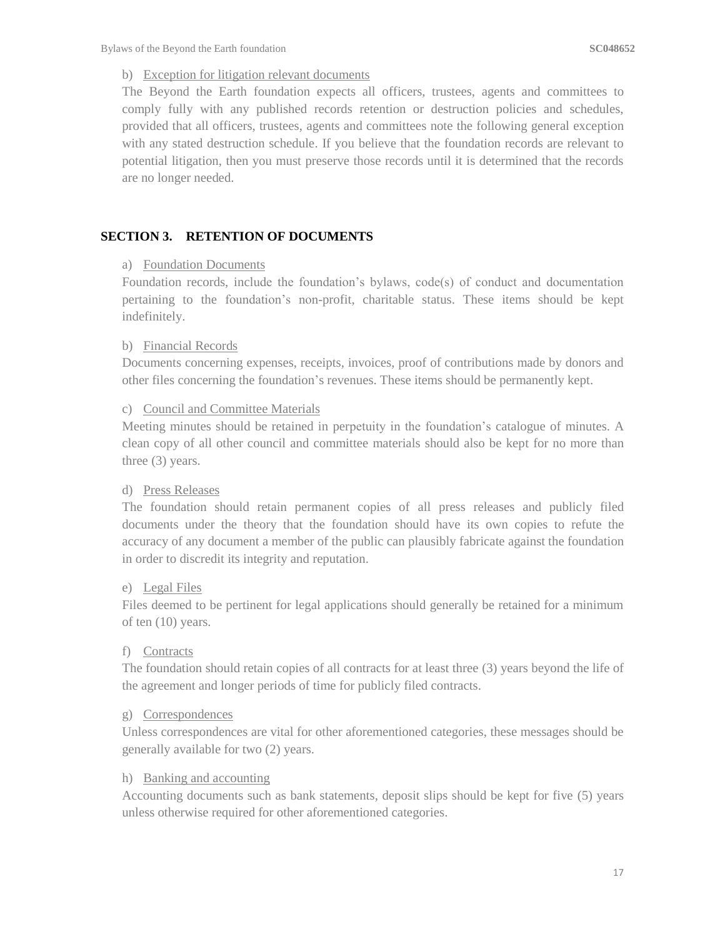#### b) Exception for litigation relevant documents

The Beyond the Earth foundation expects all officers, trustees, agents and committees to comply fully with any published records retention or destruction policies and schedules, provided that all officers, trustees, agents and committees note the following general exception with any stated destruction schedule. If you believe that the foundation records are relevant to potential litigation, then you must preserve those records until it is determined that the records are no longer needed.

#### **SECTION 3. RETENTION OF DOCUMENTS**

#### a) Foundation Documents

Foundation records, include the foundation's bylaws, code(s) of conduct and documentation pertaining to the foundation's non-profit, charitable status. These items should be kept indefinitely.

#### b) Financial Records

Documents concerning expenses, receipts, invoices, proof of contributions made by donors and other files concerning the foundation's revenues. These items should be permanently kept.

#### c) Council and Committee Materials

Meeting minutes should be retained in perpetuity in the foundation's catalogue of minutes. A clean copy of all other council and committee materials should also be kept for no more than three (3) years.

#### d) Press Releases

The foundation should retain permanent copies of all press releases and publicly filed documents under the theory that the foundation should have its own copies to refute the accuracy of any document a member of the public can plausibly fabricate against the foundation in order to discredit its integrity and reputation.

#### e) Legal Files

Files deemed to be pertinent for legal applications should generally be retained for a minimum of ten (10) years.

#### f) Contracts

The foundation should retain copies of all contracts for at least three (3) years beyond the life of the agreement and longer periods of time for publicly filed contracts.

#### g) Correspondences

Unless correspondences are vital for other aforementioned categories, these messages should be generally available for two (2) years.

#### h) Banking and accounting

Accounting documents such as bank statements, deposit slips should be kept for five (5) years unless otherwise required for other aforementioned categories.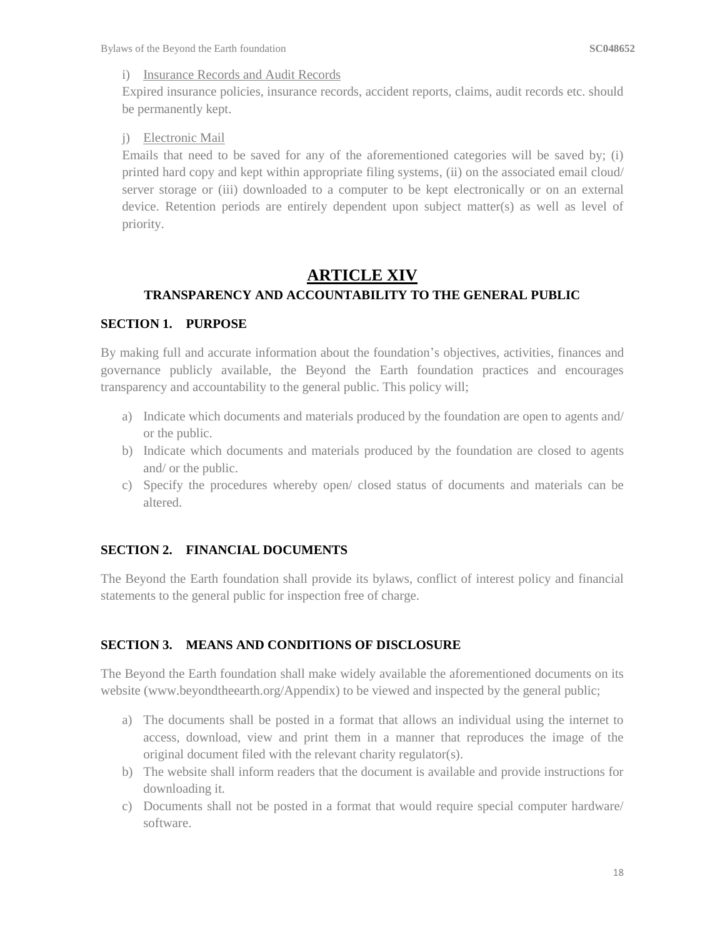#### i) Insurance Records and Audit Records

Expired insurance policies, insurance records, accident reports, claims, audit records etc. should be permanently kept.

#### j) Electronic Mail

Emails that need to be saved for any of the aforementioned categories will be saved by; (i) printed hard copy and kept within appropriate filing systems, (ii) on the associated email cloud/ server storage or (iii) downloaded to a computer to be kept electronically or on an external device. Retention periods are entirely dependent upon subject matter(s) as well as level of priority.

# **ARTICLE XIV**

## **TRANSPARENCY AND ACCOUNTABILITY TO THE GENERAL PUBLIC**

#### **SECTION 1. PURPOSE**

By making full and accurate information about the foundation's objectives, activities, finances and governance publicly available, the Beyond the Earth foundation practices and encourages transparency and accountability to the general public. This policy will;

- a) Indicate which documents and materials produced by the foundation are open to agents and/ or the public.
- b) Indicate which documents and materials produced by the foundation are closed to agents and/ or the public.
- c) Specify the procedures whereby open/ closed status of documents and materials can be altered.

### **SECTION 2. FINANCIAL DOCUMENTS**

The Beyond the Earth foundation shall provide its bylaws, conflict of interest policy and financial statements to the general public for inspection free of charge.

### **SECTION 3. MEANS AND CONDITIONS OF DISCLOSURE**

The Beyond the Earth foundation shall make widely available the aforementioned documents on its website [\(www.beyondtheearth.org/](http://www.beyondtheearth.org/)Appendix) to be viewed and inspected by the general public;

- a) The documents shall be posted in a format that allows an individual using the internet to access, download, view and print them in a manner that reproduces the image of the original document filed with the relevant charity regulator(s).
- b) The website shall inform readers that the document is available and provide instructions for downloading it.
- c) Documents shall not be posted in a format that would require special computer hardware/ software.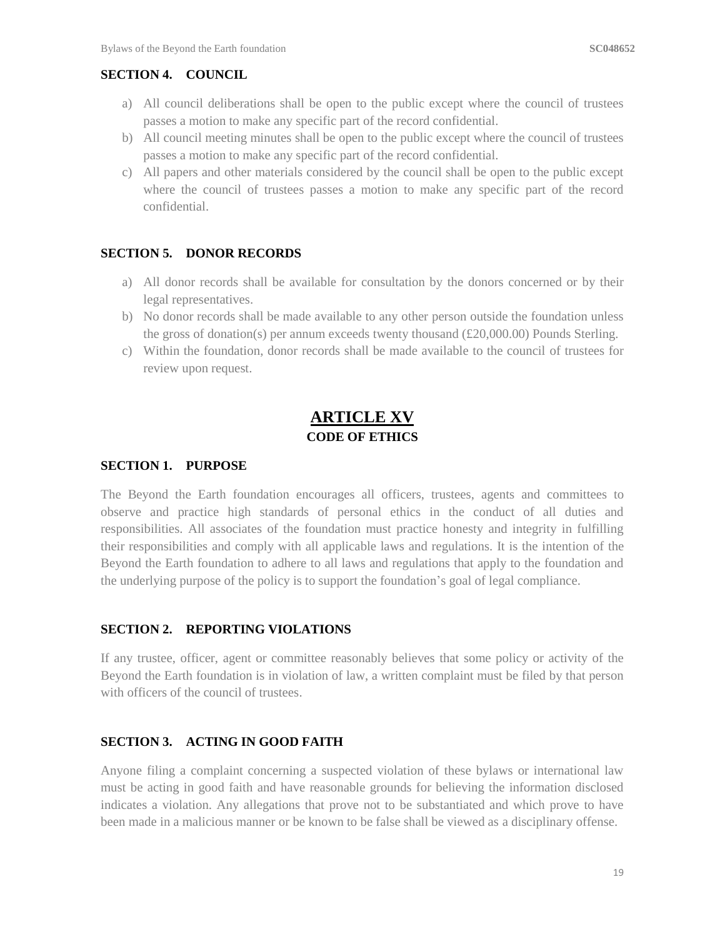#### **SECTION 4. COUNCIL**

- a) All council deliberations shall be open to the public except where the council of trustees passes a motion to make any specific part of the record confidential.
- b) All council meeting minutes shall be open to the public except where the council of trustees passes a motion to make any specific part of the record confidential.
- c) All papers and other materials considered by the council shall be open to the public except where the council of trustees passes a motion to make any specific part of the record confidential.

#### **SECTION 5. DONOR RECORDS**

- a) All donor records shall be available for consultation by the donors concerned or by their legal representatives.
- b) No donor records shall be made available to any other person outside the foundation unless the gross of donation(s) per annum exceeds twenty thousand (£20,000.00) Pounds Sterling.
- c) Within the foundation, donor records shall be made available to the council of trustees for review upon request.

# **ARTICLE XV CODE OF ETHICS**

#### **SECTION 1. PURPOSE**

The Beyond the Earth foundation encourages all officers, trustees, agents and committees to observe and practice high standards of personal ethics in the conduct of all duties and responsibilities. All associates of the foundation must practice honesty and integrity in fulfilling their responsibilities and comply with all applicable laws and regulations. It is the intention of the Beyond the Earth foundation to adhere to all laws and regulations that apply to the foundation and the underlying purpose of the policy is to support the foundation's goal of legal compliance.

#### **SECTION 2. REPORTING VIOLATIONS**

If any trustee, officer, agent or committee reasonably believes that some policy or activity of the Beyond the Earth foundation is in violation of law, a written complaint must be filed by that person with officers of the council of trustees.

#### **SECTION 3. ACTING IN GOOD FAITH**

Anyone filing a complaint concerning a suspected violation of these bylaws or international law must be acting in good faith and have reasonable grounds for believing the information disclosed indicates a violation. Any allegations that prove not to be substantiated and which prove to have been made in a malicious manner or be known to be false shall be viewed as a disciplinary offense.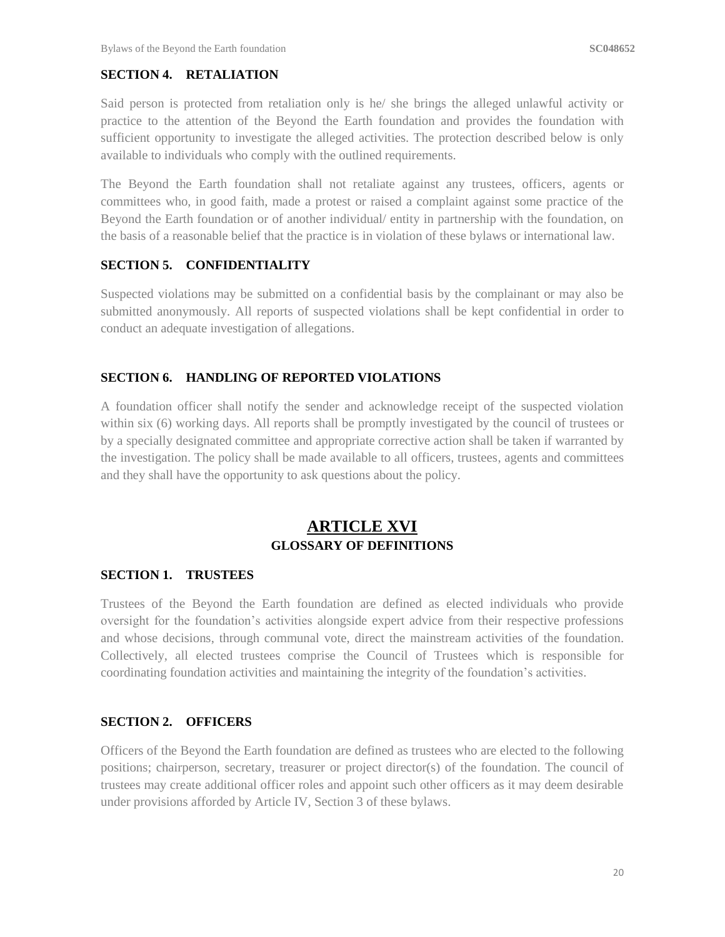#### **SECTION 4. RETALIATION**

Said person is protected from retaliation only is he/ she brings the alleged unlawful activity or practice to the attention of the Beyond the Earth foundation and provides the foundation with sufficient opportunity to investigate the alleged activities. The protection described below is only available to individuals who comply with the outlined requirements.

The Beyond the Earth foundation shall not retaliate against any trustees, officers, agents or committees who, in good faith, made a protest or raised a complaint against some practice of the Beyond the Earth foundation or of another individual/ entity in partnership with the foundation, on the basis of a reasonable belief that the practice is in violation of these bylaws or international law.

#### **SECTION 5. CONFIDENTIALITY**

Suspected violations may be submitted on a confidential basis by the complainant or may also be submitted anonymously. All reports of suspected violations shall be kept confidential in order to conduct an adequate investigation of allegations.

#### **SECTION 6. HANDLING OF REPORTED VIOLATIONS**

A foundation officer shall notify the sender and acknowledge receipt of the suspected violation within six (6) working days. All reports shall be promptly investigated by the council of trustees or by a specially designated committee and appropriate corrective action shall be taken if warranted by the investigation. The policy shall be made available to all officers, trustees, agents and committees and they shall have the opportunity to ask questions about the policy.

# **ARTICLE XVI GLOSSARY OF DEFINITIONS**

#### **SECTION 1. TRUSTEES**

Trustees of the Beyond the Earth foundation are defined as elected individuals who provide oversight for the foundation's activities alongside expert advice from their respective professions and whose decisions, through communal vote, direct the mainstream activities of the foundation. Collectively, all elected trustees comprise the Council of Trustees which is responsible for coordinating foundation activities and maintaining the integrity of the foundation's activities.

#### **SECTION 2. OFFICERS**

Officers of the Beyond the Earth foundation are defined as trustees who are elected to the following positions; chairperson, secretary, treasurer or project director(s) of the foundation. The council of trustees may create additional officer roles and appoint such other officers as it may deem desirable under provisions afforded by Article IV, Section 3 of these bylaws.